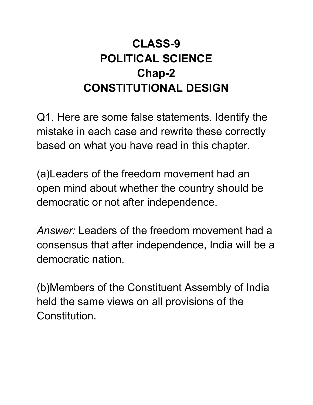## **CLASS-9 POLITICAL SCIENCE Chap-2 CONSTITUTIONAL DESIGN**

Q1. Here are some false statements. Identify the mistake in each case and rewrite these correctly based on what you have read in this chapter.

(a)Leaders of the freedom movement had an open mind about whether the country should be democratic or not after independence.

*Answer:* Leaders of the freedom movement had a consensus that after independence, India will be a democratic nation.

(b)Members of the Constituent Assembly of India held the same views on all provisions of the Constitution.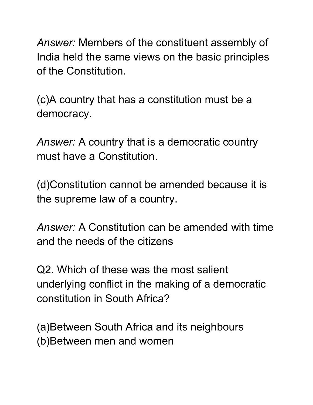*Answer:* Members of the constituent assembly of India held the same views on the basic principles of the Constitution.

(c)A country that has a constitution must be a democracy.

*Answer:* A country that is a democratic country must have a Constitution.

(d)Constitution cannot be amended because it is the supreme law of a country.

*Answer:* A Constitution can be amended with time and the needs of the citizens

Q2. Which of these was the most salient underlying conflict in the making of a democratic constitution in South Africa?

(a)Between South Africa and its neighbours (b)Between men and women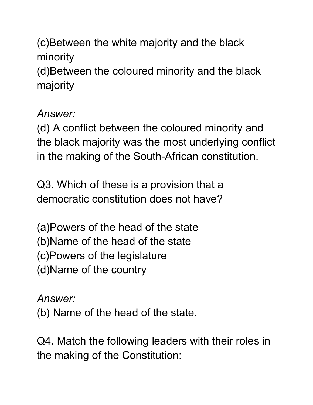(c)Between the white majority and the black minority (d)Between the coloured minority and the black majority

## *Answer:*

(d) A conflict between the coloured minority and the black majority was the most underlying conflict in the making of the South-African constitution.

Q3. Which of these is a provision that a democratic constitution does not have?

(a)Powers of the head of the state (b)Name of the head of the state (c)Powers of the legislature (d)Name of the country

*Answer:*

(b) Name of the head of the state.

Q4. Match the following leaders with their roles in the making of the Constitution: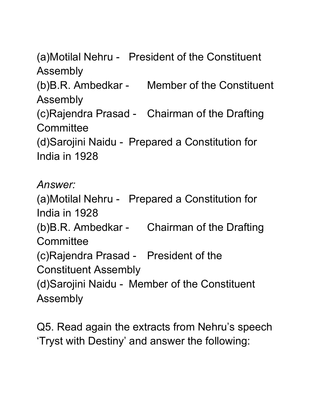(a)Motilal Nehru - President of the Constituent Assembly (b)B.R. Ambedkar - Member of the Constituent Assembly (c)Rajendra Prasad - Chairman of the Drafting **Committee** (d)Sarojini Naidu - Prepared a Constitution for India in 1928

*Answer:* (a)Motilal Nehru - Prepared a Constitution for India in 1928 (b)B.R. Ambedkar - Chairman of the Drafting **Committee** (c)Rajendra Prasad - President of the Constituent Assembly (d)Sarojini Naidu - Member of the Constituent Assembly

Q5. Read again the extracts from Nehru's speech 'Tryst with Destiny' and answer the following: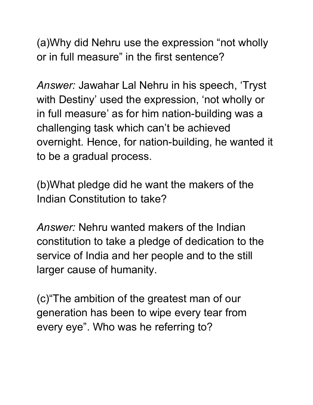(a)Why did Nehru use the expression "not wholly or in full measure" in the first sentence?

*Answer:* Jawahar Lal Nehru in his speech, 'Tryst with Destiny' used the expression, 'not wholly or in full measure' as for him nation-building was a challenging task which can't be achieved overnight. Hence, for nation-building, he wanted it to be a gradual process.

(b)What pledge did he want the makers of the Indian Constitution to take?

*Answer:* Nehru wanted makers of the Indian constitution to take a pledge of dedication to the service of India and her people and to the still larger cause of humanity.

(c)"The ambition of the greatest man of our generation has been to wipe every tear from every eye". Who was he referring to?